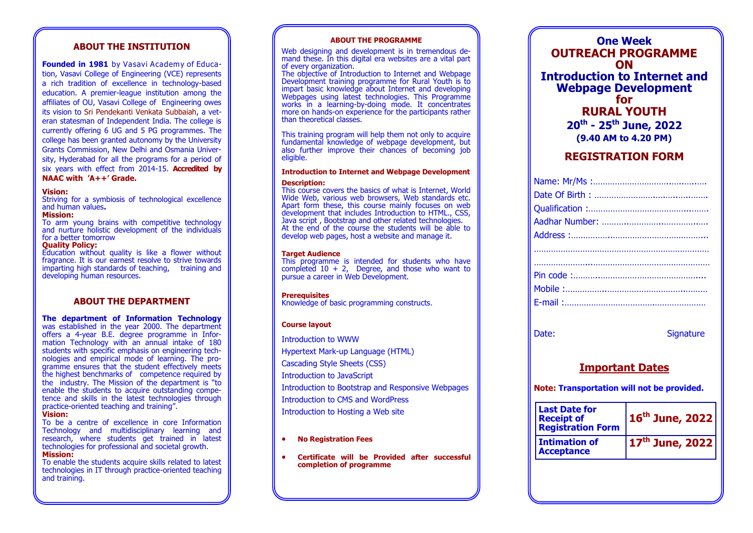## **ABOUT THE INSTITUTION**

**Founded in 1981** by Vasavi Academy of Education, Vasavi College of Engineering (VCE) represents a rich tradition of excellence in technology-based education. A premier-league institution among the affiliates of OU, Vasavi College of Engineering owes its vision to Sri Pendekanti Venkata Subbaiah, a veteran statesman of Independent India. The college is currently offering 6 UG and 5 PG programmes. The college has been granted autonomy by the University Grants Commission, New Delhi and Osmania University, Hyderabad for all the programs for a period of six years with effect from 2014-15. **Accredited by NAAC with 'A++' Grade.**

#### **Vision:**

Striving for a symbiosis of technological excellence and human values**.**

## **Mission:**

To arm young brains with competitive technology and nurture holistic development of the individuals for a better tomorrow

## **Quality Policy:**

Education without quality is like a flower without fragrance. It is our earnest resolve to strive towards imparting high standards of teaching, training and developing human resources.

### **ABOUT THE DEPARTMENT**

**The department of Information Technology**  was established in the year 2000. The department offers a 4-year B.E. degree programme in Information Technology with an annual intake of 180 students with specific emphasis on engineering technologies and empirical mode of learning. The programme ensures that the student effectively meets the highest benchmarks of competence required by the industry. The Mission of the department is "to enable the students to acquire outstanding competence and skills in the latest technologies through practice-oriented teaching and training".

### **Vision:**

To be a centre of excellence in core Information Technology and multidisciplinary learning and research, where students get trained in latest technologies for professional and societal growth. **Mission:**

To enable the students acquire skills related to latest technologies in IT through practice-oriented teaching and training.

#### **ABOUT THE PROGRAMME**

[Web designing and development](https://arena-sayajigunj.com/graphics-web-design-development-gwdd/) is in tremendous demand these. In this digital era websites are a vital part of every organization.

The objective of Introduction to Internet and Webpage Development training programme for Rural Youth is to impart basic knowledge about Internet and developing Webpages using latest technologies. This Programme works in a learning-by-doing mode. It concentrates more on hands-on experience for the participants rather than theoretical classes.

This training program will help them not only to acquire fundamental knowledge of webpage development, but also further improve their chances of becoming job eligible.

### **Introduction to Internet and Webpage Development Description:**

This course covers the basics of what is Internet, World Wide Web, various web browsers, Web standards etc. Apart form these, this course mainly focuses on web development that includes Introduction to HTML., CSS, Java script, Bootstrap and other related technologies. At the end of the course the students will be able to develop web pages, host a website and manage it.

#### **Target Audience**

This programme is intended for students who have completed 10 + 2, Degree, and those who want to pursue a career in Web Development.

#### **Prerequisites**

Knowledge of basic programming constructs.

### **Course layout**

Introduction to WWW

Hypertext Mark-up Language (HTML) Cascading Style Sheets (CSS)

Introduction to JavaScript

Introduction to Bootstrap and Responsive Webpages

Introduction to CMS and WordPress

Introduction to Hosting a Web site

- **No Registration Fees**
- **Certificate will be Provided after successful completion of programme**

# **One Week OUTREACH PROGRAMME ON Introduction to Internet and Webpage Development for RURAL YOUTH 20th - 25th June, 2022 (9.40 AM to 4.20 PM)**

# **REGISTRATION FORM**

Date: Signature

# **Important Dates**

**Note: Transportation will not be provided.**

| <b>Last Date for</b><br><b>Receipt of</b><br><b>Registration Form</b> | $16th$ June, 2022     |
|-----------------------------------------------------------------------|-----------------------|
| <b>Intimation of</b><br>Acceptance                                    | $ 17^{th}$ June, 2022 |